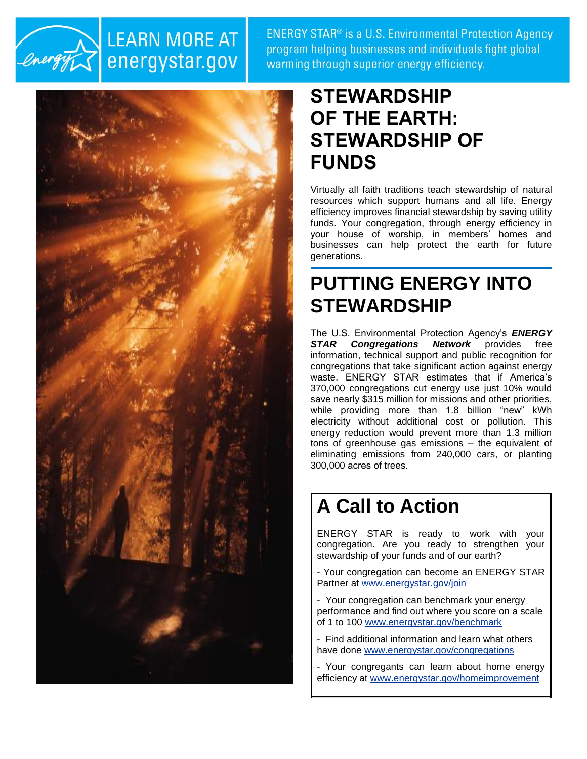

### **LEARN MORE AT** energystar.gov

**ENERGY STAR<sup>®</sup>** is a U.S. Environmental Protection Agency program helping businesses and individuals fight global warming through superior energy efficiency.



## **STEWARDSHIP OF THE EARTH: STEWARDSHIP OF FUNDS**

Virtually all faith traditions teach stewardship of natural resources which support humans and all life. Energy efficiency improves financial stewardship by saving utility funds. Your congregation, through energy efficiency in your house of worship, in members' homes and businesses can help protect the earth for future generations.

## **PUTTING ENERGY INTO STEWARDSHIP**

The U.S. Environmental Protection Agency's *ENERGY STAR Congregations Network* provides free information, technical support and public recognition for congregations that take significant action against energy waste. ENERGY STAR estimates that if America's 370,000 congregations cut energy use just 10% would save nearly \$315 million for missions and other priorities, while providing more than 1.8 billion "new" kWh electricity without additional cost or pollution. This energy reduction would prevent more than 1.3 million tons of greenhouse gas emissions – the equivalent of eliminating emissions from 240,000 cars, or planting 300,000 acres of trees.

# **A Call to Action**

ENERGY STAR is ready to work with your congregation. Are you ready to strengthen your stewardship of your funds and of our earth?

- Your congregation can become an ENERGY STAR Partner at [www.energystar.gov/join](http://www.energystar.gov/join)

- Your congregation can benchmark your energy performance and find out where you score on a scale of 1 to 100 [www.energystar.gov/benchmark](http://www.energystar.gov/benchmark)

- Find additional information and learn what others have done [www.energystar.gov/congregations](http://www.energystar.gov/congregations)

- Your congregants can learn about home energy efficiency at [www.energystar.gov/homeimprovement](http://www.energystar.gov/homeimprovement)